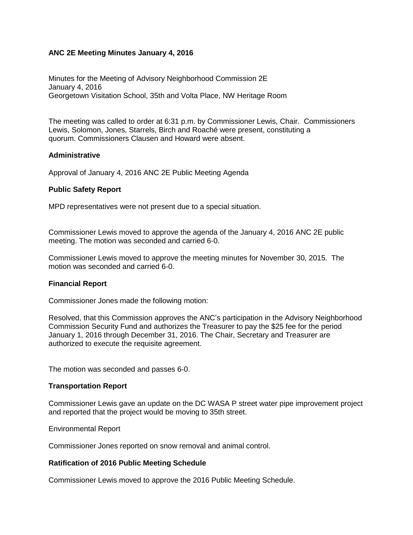## **ANC 2E Meeting Minutes January 4, 2016**

Minutes for the Meeting of Advisory Neighborhood Commission 2E January 4, 2016 Georgetown Visitation School, 35th and Volta Place, NW Heritage Room

The meeting was called to order at 6:31 p.m. by Commissioner Lewis, Chair. Commissioners Lewis, Solomon, Jones, Starrels, Birch and Roaché were present, constituting a quorum. Commissioners Clausen and Howard were absent.

## **Administrative**

Approval of January 4, 2016 ANC 2E Public Meeting Agenda

## **Public Safety Report**

MPD representatives were not present due to a special situation.

Commissioner Lewis moved to approve the agenda of the January 4, 2016 ANC 2E public meeting. The motion was seconded and carried 6-0.

Commissioner Lewis moved to approve the meeting minutes for November 30, 2015. The motion was seconded and carried 6-0.

## **Financial Report**

Commissioner Jones made the following motion:

Resolved, that this Commission approves the ANC's participation in the Advisory Neighborhood Commission Security Fund and authorizes the Treasurer to pay the \$25 fee for the period January 1, 2016 through December 31, 2016. The Chair, Secretary and Treasurer are authorized to execute the requisite agreement.

The motion was seconded and passes 6-0.

## **Transportation Report**

Commissioner Lewis gave an update on the DC WASA P street water pipe improvement project and reported that the project would be moving to 35th street.

## Environmental Report

Commissioner Jones reported on snow removal and animal control.

## **Ratification of 2016 Public Meeting Schedule**

Commissioner Lewis moved to approve the 2016 Public Meeting Schedule.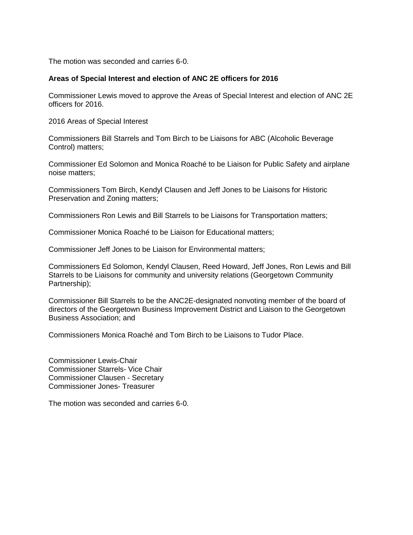The motion was seconded and carries 6-0.

## **Areas of Special Interest and election of ANC 2E officers for 2016**

Commissioner Lewis moved to approve the Areas of Special Interest and election of ANC 2E officers for 2016.

2016 Areas of Special Interest

Commissioners Bill Starrels and Tom Birch to be Liaisons for ABC (Alcoholic Beverage Control) matters;

Commissioner Ed Solomon and Monica Roaché to be Liaison for Public Safety and airplane noise matters;

Commissioners Tom Birch, Kendyl Clausen and Jeff Jones to be Liaisons for Historic Preservation and Zoning matters;

Commissioners Ron Lewis and Bill Starrels to be Liaisons for Transportation matters;

Commissioner Monica Roaché to be Liaison for Educational matters;

Commissioner Jeff Jones to be Liaison for Environmental matters;

Commissioners Ed Solomon, Kendyl Clausen, Reed Howard, Jeff Jones, Ron Lewis and Bill Starrels to be Liaisons for community and university relations (Georgetown Community Partnership);

Commissioner Bill Starrels to be the ANC2E-designated nonvoting member of the board of directors of the Georgetown Business Improvement District and Liaison to the Georgetown Business Association; and

Commissioners Monica Roaché and Tom Birch to be Liaisons to Tudor Place.

Commissioner Lewis-Chair Commissioner Starrels- Vice Chair Commissioner Clausen - Secretary Commissioner Jones- Treasurer

The motion was seconded and carries 6-0.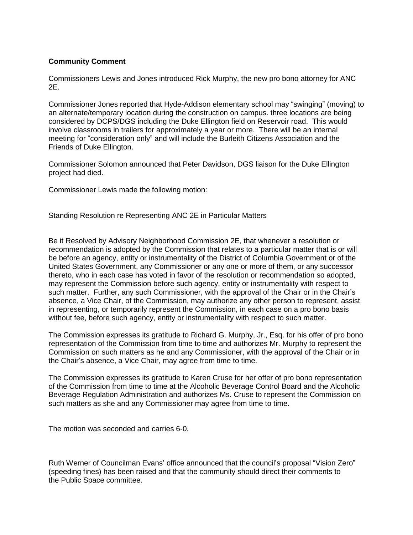## **Community Comment**

Commissioners Lewis and Jones introduced Rick Murphy, the new pro bono attorney for ANC 2E.

Commissioner Jones reported that Hyde-Addison elementary school may "swinging" (moving) to an alternate/temporary location during the construction on campus. three locations are being considered by DCPS/DGS including the Duke Ellington field on Reservoir road. This would involve classrooms in trailers for approximately a year or more. There will be an internal meeting for "consideration only" and will include the Burleith Citizens Association and the Friends of Duke Ellington.

Commissioner Solomon announced that Peter Davidson, DGS liaison for the Duke Ellington project had died.

Commissioner Lewis made the following motion:

Standing Resolution re Representing ANC 2E in Particular Matters

Be it Resolved by Advisory Neighborhood Commission 2E, that whenever a resolution or recommendation is adopted by the Commission that relates to a particular matter that is or will be before an agency, entity or instrumentality of the District of Columbia Government or of the United States Government, any Commissioner or any one or more of them, or any successor thereto, who in each case has voted in favor of the resolution or recommendation so adopted, may represent the Commission before such agency, entity or instrumentality with respect to such matter. Further, any such Commissioner, with the approval of the Chair or in the Chair's absence, a Vice Chair, of the Commission, may authorize any other person to represent, assist in representing, or temporarily represent the Commission, in each case on a pro bono basis without fee, before such agency, entity or instrumentality with respect to such matter.

The Commission expresses its gratitude to Richard G. Murphy, Jr., Esq. for his offer of pro bono representation of the Commission from time to time and authorizes Mr. Murphy to represent the Commission on such matters as he and any Commissioner, with the approval of the Chair or in the Chair's absence, a Vice Chair, may agree from time to time.

The Commission expresses its gratitude to Karen Cruse for her offer of pro bono representation of the Commission from time to time at the Alcoholic Beverage Control Board and the Alcoholic Beverage Regulation Administration and authorizes Ms. Cruse to represent the Commission on such matters as she and any Commissioner may agree from time to time.

The motion was seconded and carries 6-0.

Ruth Werner of Councilman Evans' office announced that the council's proposal "Vision Zero" (speeding fines) has been raised and that the community should direct their comments to the Public Space committee.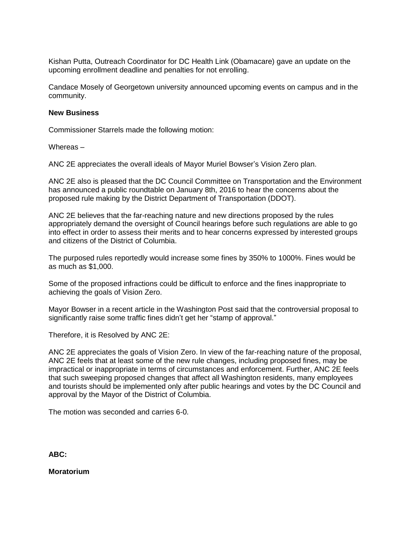Kishan Putta, Outreach Coordinator for DC Health Link (Obamacare) gave an update on the upcoming enrollment deadline and penalties for not enrolling.

Candace Mosely of Georgetown university announced upcoming events on campus and in the community.

#### **New Business**

Commissioner Starrels made the following motion:

Whereas –

ANC 2E appreciates the overall ideals of Mayor Muriel Bowser's Vision Zero plan.

ANC 2E also is pleased that the DC Council Committee on Transportation and the Environment has announced a public roundtable on January 8th, 2016 to hear the concerns about the proposed rule making by the District Department of Transportation (DDOT).

ANC 2E believes that the far-reaching nature and new directions proposed by the rules appropriately demand the oversight of Council hearings before such regulations are able to go into effect in order to assess their merits and to hear concerns expressed by interested groups and citizens of the District of Columbia.

The purposed rules reportedly would increase some fines by 350% to 1000%. Fines would be as much as \$1,000.

Some of the proposed infractions could be difficult to enforce and the fines inappropriate to achieving the goals of Vision Zero.

Mayor Bowser in a recent article in the Washington Post said that the controversial proposal to significantly raise some traffic fines didn't get her "stamp of approval."

Therefore, it is Resolved by ANC 2E:

ANC 2E appreciates the goals of Vision Zero. In view of the far-reaching nature of the proposal, ANC 2E feels that at least some of the new rule changes, including proposed fines, may be impractical or inappropriate in terms of circumstances and enforcement. Further, ANC 2E feels that such sweeping proposed changes that affect all Washington residents, many employees and tourists should be implemented only after public hearings and votes by the DC Council and approval by the Mayor of the District of Columbia.

The motion was seconded and carries 6-0.

#### **ABC:**

**Moratorium**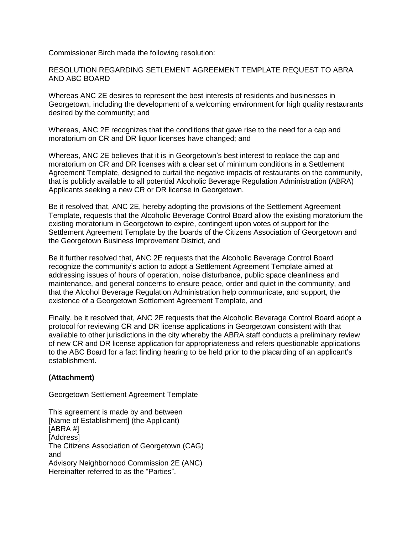Commissioner Birch made the following resolution:

RESOLUTION REGARDING SETLEMENT AGREEMENT TEMPLATE REQUEST TO ABRA AND ABC BOARD

Whereas ANC 2E desires to represent the best interests of residents and businesses in Georgetown, including the development of a welcoming environment for high quality restaurants desired by the community; and

Whereas, ANC 2E recognizes that the conditions that gave rise to the need for a cap and moratorium on CR and DR liquor licenses have changed; and

Whereas, ANC 2E believes that it is in Georgetown's best interest to replace the cap and moratorium on CR and DR licenses with a clear set of minimum conditions in a Settlement Agreement Template, designed to curtail the negative impacts of restaurants on the community, that is publicly available to all potential Alcoholic Beverage Regulation Administration (ABRA) Applicants seeking a new CR or DR license in Georgetown.

Be it resolved that, ANC 2E, hereby adopting the provisions of the Settlement Agreement Template, requests that the Alcoholic Beverage Control Board allow the existing moratorium the existing moratorium in Georgetown to expire, contingent upon votes of support for the Settlement Agreement Template by the boards of the Citizens Association of Georgetown and the Georgetown Business Improvement District, and

Be it further resolved that, ANC 2E requests that the Alcoholic Beverage Control Board recognize the community's action to adopt a Settlement Agreement Template aimed at addressing issues of hours of operation, noise disturbance, public space cleanliness and maintenance, and general concerns to ensure peace, order and quiet in the community, and that the Alcohol Beverage Regulation Administration help communicate, and support, the existence of a Georgetown Settlement Agreement Template, and

Finally, be it resolved that, ANC 2E requests that the Alcoholic Beverage Control Board adopt a protocol for reviewing CR and DR license applications in Georgetown consistent with that available to other jurisdictions in the city whereby the ABRA staff conducts a preliminary review of new CR and DR license application for appropriateness and refers questionable applications to the ABC Board for a fact finding hearing to be held prior to the placarding of an applicant's establishment.

# **(Attachment)**

Georgetown Settlement Agreement Template

This agreement is made by and between [Name of Establishment] (the Applicant) [ABRA #] [Address] The Citizens Association of Georgetown (CAG) and Advisory Neighborhood Commission 2E (ANC) Hereinafter referred to as the "Parties".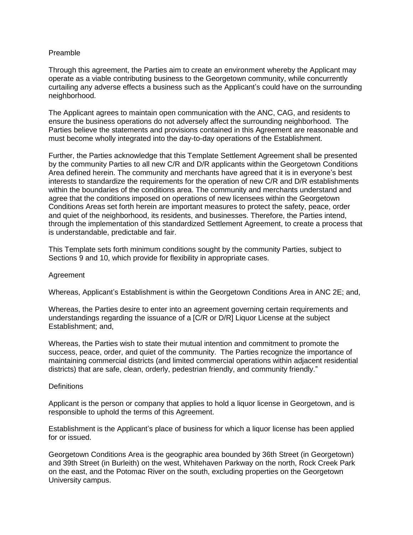## Preamble

Through this agreement, the Parties aim to create an environment whereby the Applicant may operate as a viable contributing business to the Georgetown community, while concurrently curtailing any adverse effects a business such as the Applicant's could have on the surrounding neighborhood.

The Applicant agrees to maintain open communication with the ANC, CAG, and residents to ensure the business operations do not adversely affect the surrounding neighborhood. The Parties believe the statements and provisions contained in this Agreement are reasonable and must become wholly integrated into the day-to-day operations of the Establishment.

Further, the Parties acknowledge that this Template Settlement Agreement shall be presented by the community Parties to all new C/R and D/R applicants within the Georgetown Conditions Area defined herein. The community and merchants have agreed that it is in everyone's best interests to standardize the requirements for the operation of new C/R and D/R establishments within the boundaries of the conditions area. The community and merchants understand and agree that the conditions imposed on operations of new licensees within the Georgetown Conditions Areas set forth herein are important measures to protect the safety, peace, order and quiet of the neighborhood, its residents, and businesses. Therefore, the Parties intend, through the implementation of this standardized Settlement Agreement, to create a process that is understandable, predictable and fair.

This Template sets forth minimum conditions sought by the community Parties, subject to Sections 9 and 10, which provide for flexibility in appropriate cases.

## Agreement

Whereas, Applicant's Establishment is within the Georgetown Conditions Area in ANC 2E; and,

Whereas, the Parties desire to enter into an agreement governing certain requirements and understandings regarding the issuance of a [C/R or D/R] Liquor License at the subject Establishment; and,

Whereas, the Parties wish to state their mutual intention and commitment to promote the success, peace, order, and quiet of the community. The Parties recognize the importance of maintaining commercial districts (and limited commercial operations within adjacent residential districts) that are safe, clean, orderly, pedestrian friendly, and community friendly."

## **Definitions**

Applicant is the person or company that applies to hold a liquor license in Georgetown, and is responsible to uphold the terms of this Agreement.

Establishment is the Applicant's place of business for which a liquor license has been applied for or issued.

Georgetown Conditions Area is the geographic area bounded by 36th Street (in Georgetown) and 39th Street (in Burleith) on the west, Whitehaven Parkway on the north, Rock Creek Park on the east, and the Potomac River on the south, excluding properties on the Georgetown University campus.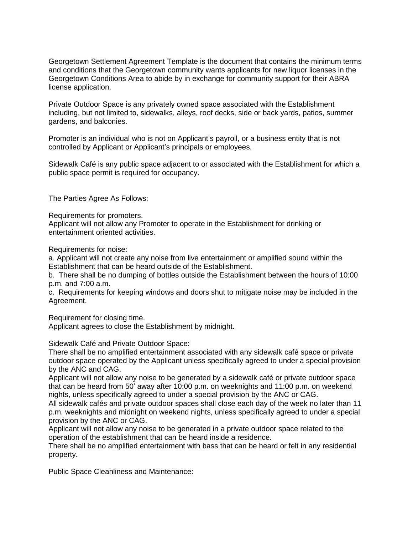Georgetown Settlement Agreement Template is the document that contains the minimum terms and conditions that the Georgetown community wants applicants for new liquor licenses in the Georgetown Conditions Area to abide by in exchange for community support for their ABRA license application.

Private Outdoor Space is any privately owned space associated with the Establishment including, but not limited to, sidewalks, alleys, roof decks, side or back yards, patios, summer gardens, and balconies.

Promoter is an individual who is not on Applicant's payroll, or a business entity that is not controlled by Applicant or Applicant's principals or employees.

Sidewalk Café is any public space adjacent to or associated with the Establishment for which a public space permit is required for occupancy.

The Parties Agree As Follows:

Requirements for promoters.

Applicant will not allow any Promoter to operate in the Establishment for drinking or entertainment oriented activities.

Requirements for noise:

a. Applicant will not create any noise from live entertainment or amplified sound within the Establishment that can be heard outside of the Establishment.

b. There shall be no dumping of bottles outside the Establishment between the hours of 10:00 p.m. and 7:00 a.m.

c. Requirements for keeping windows and doors shut to mitigate noise may be included in the Agreement.

Requirement for closing time.

Applicant agrees to close the Establishment by midnight.

Sidewalk Café and Private Outdoor Space:

There shall be no amplified entertainment associated with any sidewalk café space or private outdoor space operated by the Applicant unless specifically agreed to under a special provision by the ANC and CAG.

Applicant will not allow any noise to be generated by a sidewalk café or private outdoor space that can be heard from 50' away after 10:00 p.m. on weeknights and 11:00 p.m. on weekend nights, unless specifically agreed to under a special provision by the ANC or CAG.

All sidewalk cafés and private outdoor spaces shall close each day of the week no later than 11 p.m. weeknights and midnight on weekend nights, unless specifically agreed to under a special provision by the ANC or CAG.

Applicant will not allow any noise to be generated in a private outdoor space related to the operation of the establishment that can be heard inside a residence.

There shall be no amplified entertainment with bass that can be heard or felt in any residential property.

Public Space Cleanliness and Maintenance: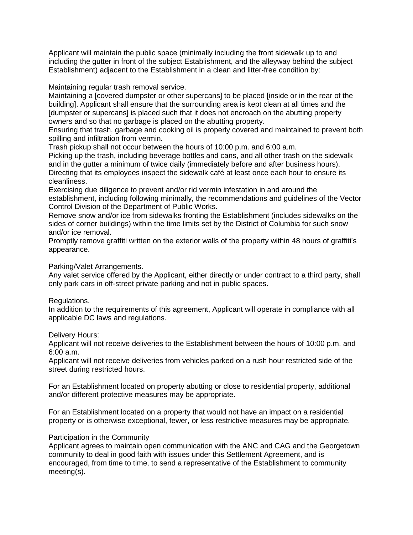Applicant will maintain the public space (minimally including the front sidewalk up to and including the gutter in front of the subject Establishment, and the alleyway behind the subject Establishment) adjacent to the Establishment in a clean and litter-free condition by:

Maintaining regular trash removal service.

Maintaining a [covered dumpster or other supercans] to be placed [inside or in the rear of the building]. Applicant shall ensure that the surrounding area is kept clean at all times and the [dumpster or supercans] is placed such that it does not encroach on the abutting property owners and so that no garbage is placed on the abutting property.

Ensuring that trash, garbage and cooking oil is properly covered and maintained to prevent both spilling and infiltration from vermin.

Trash pickup shall not occur between the hours of 10:00 p.m. and 6:00 a.m.

Picking up the trash, including beverage bottles and cans, and all other trash on the sidewalk and in the gutter a minimum of twice daily (immediately before and after business hours). Directing that its employees inspect the sidewalk café at least once each hour to ensure its cleanliness.

Exercising due diligence to prevent and/or rid vermin infestation in and around the establishment, including following minimally, the recommendations and guidelines of the Vector Control Division of the Department of Public Works.

Remove snow and/or ice from sidewalks fronting the Establishment (includes sidewalks on the sides of corner buildings) within the time limits set by the District of Columbia for such snow and/or ice removal.

Promptly remove graffiti written on the exterior walls of the property within 48 hours of graffiti's appearance.

Parking/Valet Arrangements.

Any valet service offered by the Applicant, either directly or under contract to a third party, shall only park cars in off-street private parking and not in public spaces.

Regulations.

In addition to the requirements of this agreement, Applicant will operate in compliance with all applicable DC laws and regulations.

Delivery Hours:

Applicant will not receive deliveries to the Establishment between the hours of 10:00 p.m. and 6:00 a.m.

Applicant will not receive deliveries from vehicles parked on a rush hour restricted side of the street during restricted hours.

For an Establishment located on property abutting or close to residential property, additional and/or different protective measures may be appropriate.

For an Establishment located on a property that would not have an impact on a residential property or is otherwise exceptional, fewer, or less restrictive measures may be appropriate.

# Participation in the Community

Applicant agrees to maintain open communication with the ANC and CAG and the Georgetown community to deal in good faith with issues under this Settlement Agreement, and is encouraged, from time to time, to send a representative of the Establishment to community meeting(s).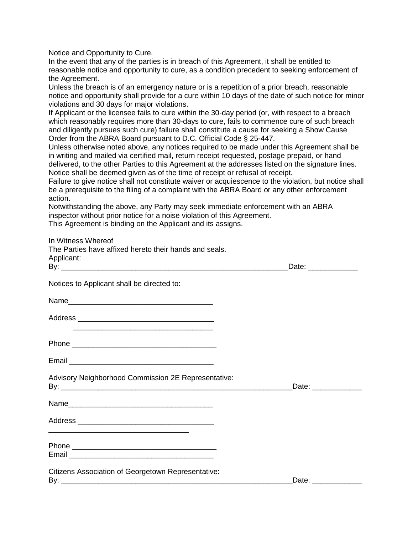Notice and Opportunity to Cure.

In the event that any of the parties is in breach of this Agreement, it shall be entitled to reasonable notice and opportunity to cure, as a condition precedent to seeking enforcement of the Agreement.

Unless the breach is of an emergency nature or is a repetition of a prior breach, reasonable notice and opportunity shall provide for a cure within 10 days of the date of such notice for minor violations and 30 days for major violations.

If Applicant or the licensee fails to cure within the 30-day period (or, with respect to a breach which reasonably requires more than 30-days to cure, fails to commence cure of such breach and diligently pursues such cure) failure shall constitute a cause for seeking a Show Cause Order from the ABRA Board pursuant to D.C. Official Code § 25-447.

Unless otherwise noted above, any notices required to be made under this Agreement shall be in writing and mailed via certified mail, return receipt requested, postage prepaid, or hand delivered, to the other Parties to this Agreement at the addresses listed on the signature lines. Notice shall be deemed given as of the time of receipt or refusal of receipt.

Failure to give notice shall not constitute waiver or acquiescence to the violation, but notice shall be a prerequisite to the filing of a complaint with the ABRA Board or any other enforcement action.

Notwithstanding the above, any Party may seek immediate enforcement with an ABRA inspector without prior notice for a noise violation of this Agreement.

This Agreement is binding on the Applicant and its assigns.

In Witness Whereof

| The Parties have affixed hereto their hands and seals. |                      |  |
|--------------------------------------------------------|----------------------|--|
| Applicant:                                             | Date: _____________  |  |
| Notices to Applicant shall be directed to:             |                      |  |
|                                                        |                      |  |
| <u> 2008 - Jan Barnett, fransk politiker (d. 1982)</u> |                      |  |
|                                                        |                      |  |
|                                                        |                      |  |
| Advisory Neighborhood Commission 2E Representative:    | Date: ______________ |  |
|                                                        |                      |  |
|                                                        |                      |  |
|                                                        |                      |  |
| Citizens Association of Georgetown Representative:     |                      |  |
|                                                        | Date: ______________ |  |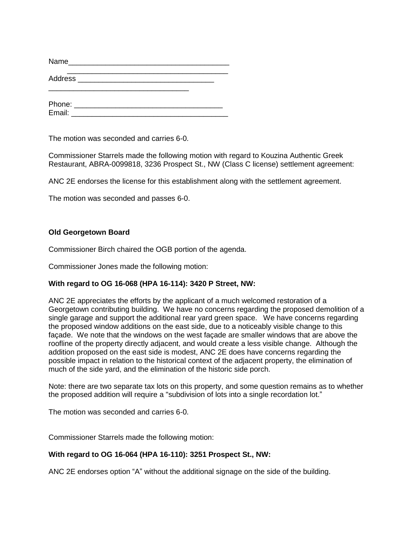| Name   | <u> 1989 - Jan Stein Stein, fransk politik fotograf (d. 1982)</u> |  |  |
|--------|-------------------------------------------------------------------|--|--|
|        |                                                                   |  |  |
| Phone: |                                                                   |  |  |

Email: \_\_\_\_\_\_\_\_\_\_\_\_\_\_\_\_\_\_\_\_\_\_\_\_\_\_\_\_\_\_\_\_\_\_\_\_\_\_

The motion was seconded and carries 6-0.

Commissioner Starrels made the following motion with regard to Kouzina Authentic Greek Restaurant, ABRA-0099818, 3236 Prospect St., NW (Class C license) settlement agreement:

ANC 2E endorses the license for this establishment along with the settlement agreement.

The motion was seconded and passes 6-0.

# **Old Georgetown Board**

Commissioner Birch chaired the OGB portion of the agenda.

Commissioner Jones made the following motion:

# **With regard to OG 16-068 (HPA 16-114): 3420 P Street, NW:**

ANC 2E appreciates the efforts by the applicant of a much welcomed restoration of a Georgetown contributing building. We have no concerns regarding the proposed demolition of a single garage and support the additional rear yard green space. We have concerns regarding the proposed window additions on the east side, due to a noticeably visible change to this façade. We note that the windows on the west façade are smaller windows that are above the roofline of the property directly adjacent, and would create a less visible change. Although the addition proposed on the east side is modest, ANC 2E does have concerns regarding the possible impact in relation to the historical context of the adjacent property, the elimination of much of the side yard, and the elimination of the historic side porch.

Note: there are two separate tax lots on this property, and some question remains as to whether the proposed addition will require a "subdivision of lots into a single recordation lot."

The motion was seconded and carries 6-0.

Commissioner Starrels made the following motion:

# **With regard to OG 16-064 (HPA 16-110): 3251 Prospect St., NW:**

ANC 2E endorses option "A" without the additional signage on the side of the building.